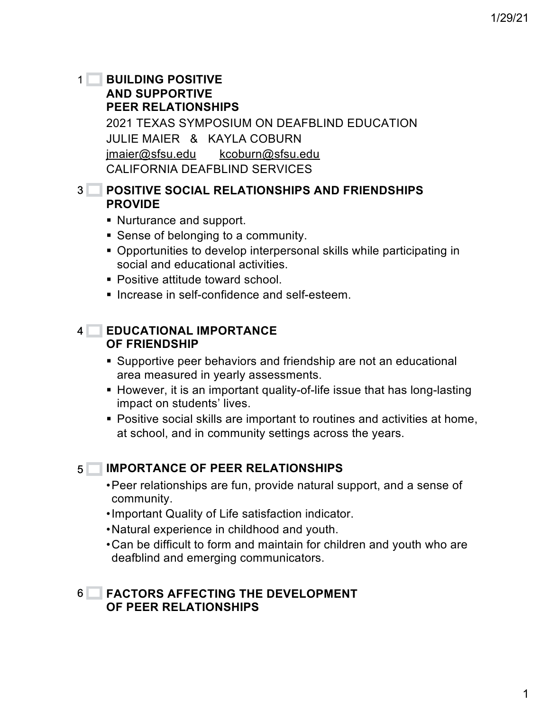## **BUILDING POSITIVE AND SUPPORTIVE PEER RELATIONSHIPS** 2021 TEXAS SYMPOSIUM ON DEAFBLIND EDUCATION JULIE MAIER & KAYLA COBURN jmaier@sfsu.edu kcoburn@sfsu.edu CALIFORNIA DEAFBLIND SERVICES  $1<sup>1</sup>$

# 2 **POSITIVE SOCIAL RELATIONSHIPS AND FRIENDSHIPS**  3 **PROVIDE**

- § Nurturance and support.
- Sense of belonging to a community.
- § Opportunities to develop interpersonal skills while participating in social and educational activities.
- Positive attitude toward school.
- **Increase in self-confidence and self-esteem.**

# **EDUCATIONAL IMPORTANCE**  4 **OF FRIENDSHIP**

- Supportive peer behaviors and friendship are not an educational area measured in yearly assessments.
- However, it is an important quality-of-life issue that has long-lasting impact on students' lives.
- § Positive social skills are important to routines and activities at home, at school, and in community settings across the years.

### **IMPORTANCE OF PEER RELATIONSHIPS**  $5<sub>1</sub>$

- •Peer relationships are fun, provide natural support, and a sense of community.
- •Important Quality of Life satisfaction indicator.
- •Natural experience in childhood and youth.
- •Can be difficult to form and maintain for children and youth who are deafblind and emerging communicators.

## **FACTORS AFFECTING THE DEVELOPMENT OF PEER RELATIONSHIPS** 6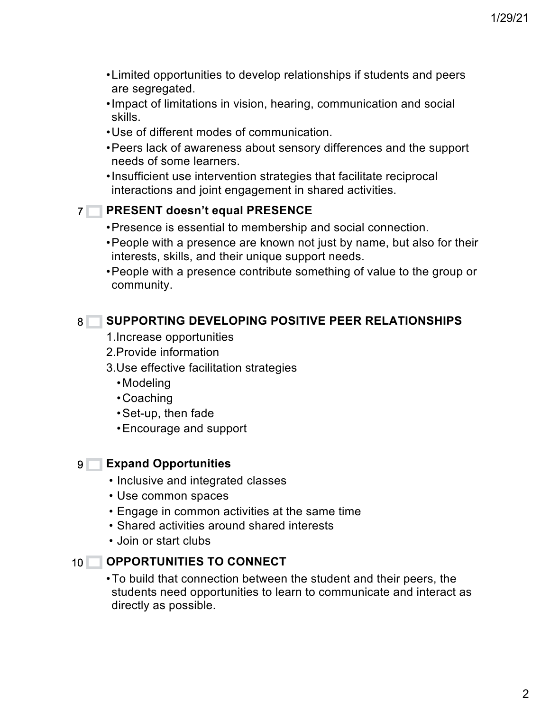- •Limited opportunities to develop relationships if students and peers are segregated.
- •Impact of limitations in vision, hearing, communication and social skills.
- •Use of different modes of communication.
- •Peers lack of awareness about sensory differences and the support needs of some learners.
- •Insufficient use intervention strategies that facilitate reciprocal interactions and joint engagement in shared activities.

# **PRESENT doesn't equal PRESENCE**  7

- •Presence is essential to membership and social connection.
- •People with a presence are known not just by name, but also for their interests, skills, and their unique support needs.
- •People with a presence contribute something of value to the group or community.

# **SUPPORTING DEVELOPING POSITIVE PEER RELATIONSHIPS** 8

- 1.Increase opportunities
- 2.Provide information
- 3.Use effective facilitation strategies
	- •Modeling
	- •Coaching
	- •Set-up, then fade
	- •Encourage and support

# **Expand Opportunities** 9

- Inclusive and integrated classes
- Use common spaces
- Engage in common activities at the same time
- Shared activities around shared interests
- Join or start clubs

### **OPPORTUNITIES TO CONNECT**  $10$   $\Box$

•To build that connection between the student and their peers, the students need opportunities to learn to communicate and interact as directly as possible.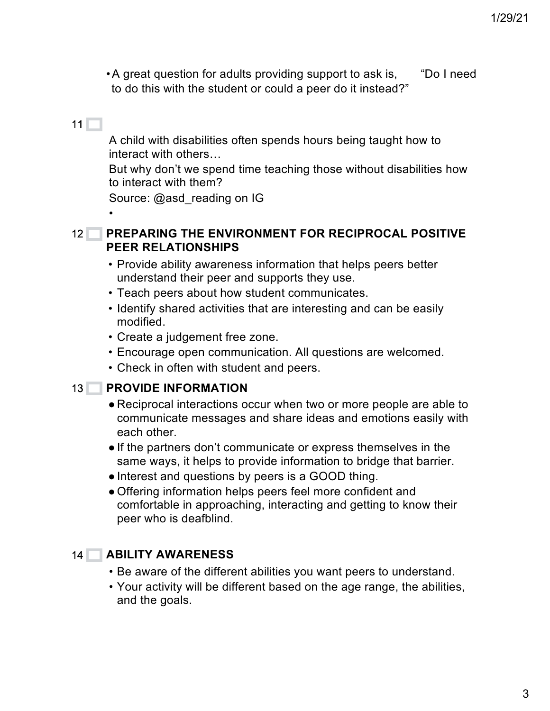•A great question for adults providing support to ask is, "Do I need to do this with the student or could a peer do it instead?"

# $11 \Box$

•

A child with disabilities often spends hours being taught how to interact with others…

But why don't we spend time teaching those without disabilities how to interact with them?

Source: @asd\_reading on IG

### **PREPARING THE ENVIRONMENT FOR RECIPROCAL POSITIVE PEER RELATIONSHIPS**  $12<sup>1</sup>$

- Provide ability awareness information that helps peers better understand their peer and supports they use.
- Teach peers about how student communicates.
- Identify shared activities that are interesting and can be easily modified.
- Create a judgement free zone.
- Encourage open communication. All questions are welcomed.
- Check in often with student and peers.

## 13 PROVIDE INFORMATION

- Reciprocal interactions occur when two or more people are able to communicate messages and share ideas and emotions easily with each other.
- If the partners don't communicate or express themselves in the same ways, it helps to provide information to bridge that barrier.
- Interest and questions by peers is a GOOD thing.
- ●Offering information helps peers feel more confident and comfortable in approaching, interacting and getting to know their peer who is deafblind.

### **ABILITY AWARENESS** 14

- Be aware of the different abilities you want peers to understand.
- Your activity will be different based on the age range, the abilities, and the goals.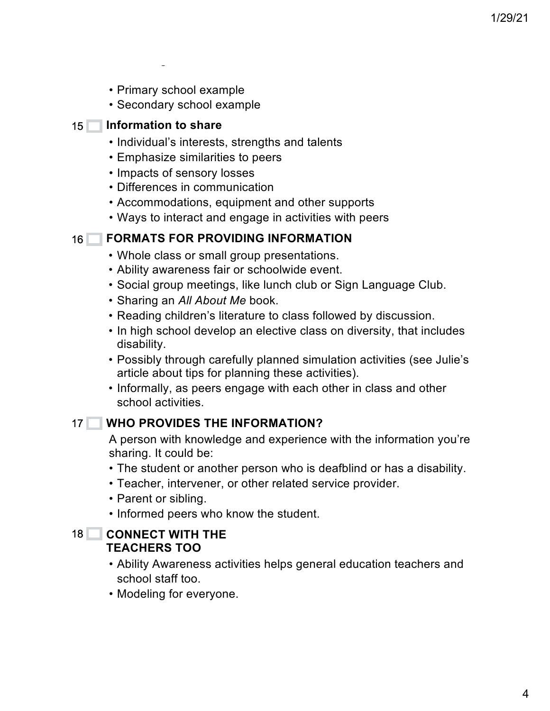- Primary school example
- Secondary school example

## 15 **Information to share**

and the goals.

- Individual's interests, strengths and talents
- Emphasize similarities to peers
- Impacts of sensory losses
- Differences in communication
- Accommodations, equipment and other supports
- Ways to interact and engage in activities with peers

### **FORMATS FOR PROVIDING INFORMATION**  $16<sup>+</sup>$

- Whole class or small group presentations.
- Ability awareness fair or schoolwide event.
- Social group meetings, like lunch club or Sign Language Club.
- Sharing an *All About Me* book.
- Reading children's literature to class followed by discussion.
- In high school develop an elective class on diversity, that includes disability.
- Possibly through carefully planned simulation activities (see Julie's article about tips for planning these activities).
- Informally, as peers engage with each other in class and other school activities.

### **WHO PROVIDES THE INFORMATION?** 17

A person with knowledge and experience with the information you're sharing. It could be:

- The student or another person who is deafblind or has a disability.
- Teacher, intervener, or other related service provider.
- Parent or sibling.
- Informed peers who know the student.

## **CONNECT WITH THE TEACHERS TOO** 18

- Ability Awareness activities helps general education teachers and school staff too.
- Modeling for everyone.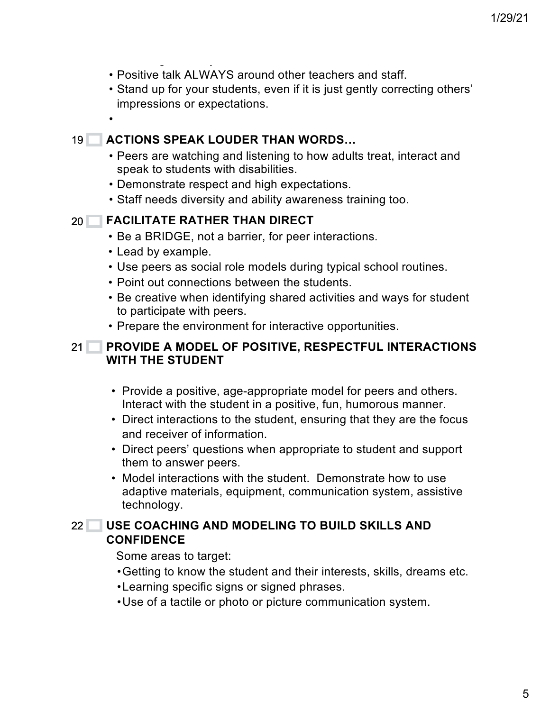- Positive talk ALWAYS around other teachers and staff.
- Stand up for your students, even if it is just gently correcting others' impressions or expectations.
- •

### **ACTIONS SPEAK LOUDER THAN WORDS…** 19

- Peers are watching and listening to how adults treat, interact and speak to students with disabilities.
- Demonstrate respect and high expectations.
- Staff needs diversity and ability awareness training too.

#### **FACILITATE RATHER THAN DIRECT** 20

• Modeling for everyone.

- Be a BRIDGE, not a barrier, for peer interactions.
- Lead by example.
- Use peers as social role models during typical school routines.
- Point out connections between the students.
- Be creative when identifying shared activities and ways for student to participate with peers.
- Prepare the environment for interactive opportunities.

## **PROVIDE A MODEL OF POSITIVE, RESPECTFUL INTERACTIONS WITH THE STUDENT**   $21$

- Provide a positive, age-appropriate model for peers and others. Interact with the student in a positive, fun, humorous manner.
- Direct interactions to the student, ensuring that they are the focus and receiver of information.
- Direct peers' questions when appropriate to student and support them to answer peers.
- Model interactions with the student. Demonstrate how to use adaptive materials, equipment, communication system, assistive technology.

## **USE COACHING AND MODELING TO BUILD SKILLS AND CONFIDENCE**  $22<sup>2</sup>$

Some areas to target:

- •Getting to know the student and their interests, skills, dreams etc.
- •Learning specific signs or signed phrases.
- •Use of a tactile or photo or picture communication system.